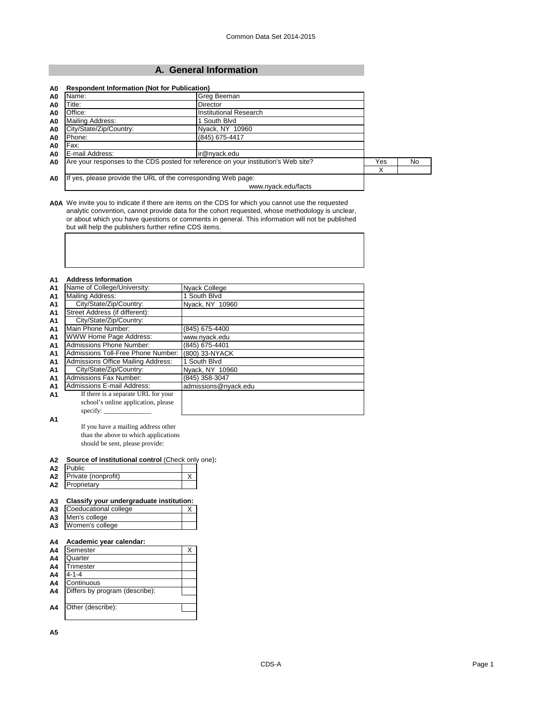## **A. General Information**

| Name:                   | Greg Beeman                                                                        |     |     |
|-------------------------|------------------------------------------------------------------------------------|-----|-----|
| Title:                  | <b>Director</b>                                                                    |     |     |
| Office:                 | Institutional Research                                                             |     |     |
| <b>Mailing Address:</b> | 1 South Blvd                                                                       |     |     |
| City/State/Zip/Country: | Nyack, NY 10960                                                                    |     |     |
| Phone:                  | (845) 675-4417                                                                     |     |     |
| Fax:                    |                                                                                    |     |     |
| E-mail Address:         | ir@nyack.edu                                                                       |     |     |
|                         | Are your responses to the CDS posted for reference on your institution's Web site? | Yes | No. |
|                         |                                                                                    | x   |     |
|                         | If yes, please provide the URL of the corresponding Web page:                      |     |     |
|                         | www.nyack.edu/facts                                                                |     |     |

**A0A** We invite you to indicate if there are items on the CDS for which you cannot use the requested analytic convention, cannot provide data for the cohort requested, whose methodology is unclear, or about which you have questions or comments in general. This information will not be published but will help the publishers further refine CDS items.

| <b>A1</b>      | <b>Address Information</b>          |                      |
|----------------|-------------------------------------|----------------------|
| <b>A1</b>      | Name of College/University:         | Nyack College        |
| <b>A1</b>      | <b>Mailing Address:</b>             | 1 South Blvd         |
| <b>A1</b>      | City/State/Zip/Country:             | Nyack, NY 10960      |
| A <sub>1</sub> | Street Address (if different):      |                      |
| A <sub>1</sub> | City/State/Zip/Country:             |                      |
| A <sub>1</sub> | Main Phone Number:                  | (845) 675-4400       |
| A <sub>1</sub> | WWW Home Page Address:              | www.nyack.edu        |
| A <sub>1</sub> | Admissions Phone Number:            | (845) 675-4401       |
| A <sub>1</sub> | Admissions Toll-Free Phone Number:  | (800) 33-NYACK       |
| A <sub>1</sub> | Admissions Office Mailing Address:  | 1 South Blvd         |
| A <sub>1</sub> | City/State/Zip/Country:             | Nyack, NY 10960      |
| A <sub>1</sub> | Admissions Fax Number:              | (845) 358-3047       |
| A1             | Admissions E-mail Address:          | admissions@nyack.edu |
| A1             | If there is a separate URL for your |                      |
|                | school's online application, please |                      |
|                | specify:                            |                      |

**A1**

If you have a mailing address other than the above to which applications should be sent, please provide:

| A2 Source of institutional control (Check only one): |  |
|------------------------------------------------------|--|
|                                                      |  |

| A <sub>2</sub> | Public              |  |
|----------------|---------------------|--|
| A2             | Private (nonprofit) |  |
| A <sub>2</sub> | Proprietary         |  |

## **A3 Classify your undergraduate institution:**

| А3 | Coeducational college |  |
|----|-----------------------|--|
|    | A3 Men's college      |  |
| А3 | Women's college       |  |

**A3** Women's college

## **A4 Academic year calendar:**

| A4             | Semester                       |  |
|----------------|--------------------------------|--|
| A4             | Quarter                        |  |
| A4             | Trimester                      |  |
| A4             | 4-1-4                          |  |
| A4             | Continuous                     |  |
| A <sub>4</sub> | Differs by program (describe): |  |
|                |                                |  |
| A4             | Other (describe):              |  |
|                |                                |  |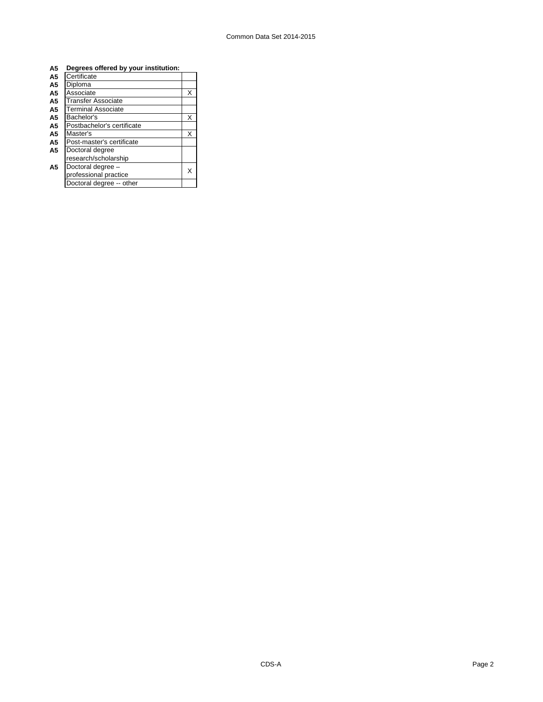| A5             | Degrees offered by your institution: |   |
|----------------|--------------------------------------|---|
| A5             | Certificate                          |   |
| A5             | Diploma                              |   |
| A5             | Associate                            | X |
| A5             | <b>Transfer Associate</b>            |   |
| A5             | <b>Terminal Associate</b>            |   |
| A5             | Bachelor's                           | X |
| A5             | Postbachelor's certificate           |   |
| A5             | Master's                             | X |
| A5             | Post-master's certificate            |   |
| A <sub>5</sub> | Doctoral degree                      |   |
|                | research/scholarship                 |   |
| A <sub>5</sub> | Doctoral degree -                    |   |
|                | professional practice                | x |
|                | Doctoral degree -- other             |   |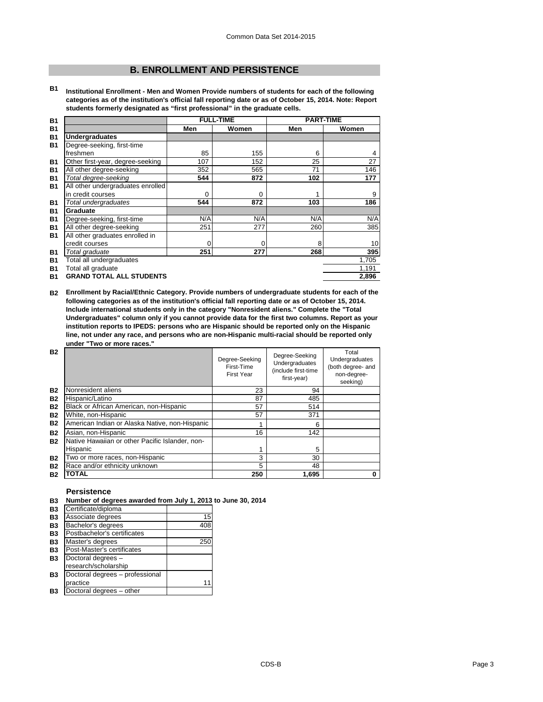## **B. ENROLLMENT AND PERSISTENCE**

**B1 Institutional Enrollment - Men and Women Provide numbers of students for each of the following categories as of the institution's official fall reporting date or as of October 15, 2014. Note: Report students formerly designated as "first professional" in the graduate cells.**

| <b>B1</b> |                                   |     | <b>FULL-TIME</b> | <b>PART-TIME</b> |       |
|-----------|-----------------------------------|-----|------------------|------------------|-------|
| <b>B1</b> |                                   | Men | Women            | Men              | Women |
| <b>B1</b> | <b>Undergraduates</b>             |     |                  |                  |       |
| <b>B1</b> | Degree-seeking, first-time        |     |                  |                  |       |
|           | freshmen                          | 85  | 155              | 6                | 4     |
| <b>B1</b> | Other first-year, degree-seeking  | 107 | 152              | 25               | 27    |
| <b>B1</b> | All other degree-seeking          | 352 | 565              | 71               | 146   |
| <b>B1</b> | Total degree-seeking              | 544 | 872              | 102              | 177   |
| <b>B1</b> | All other undergraduates enrolled |     |                  |                  |       |
|           | in credit courses                 | 0   | 0                |                  | 9     |
| <b>B1</b> | Total undergraduates              | 544 | 872              | 103              | 186   |
| <b>B1</b> | Graduate                          |     |                  |                  |       |
| <b>B1</b> | Degree-seeking, first-time        | N/A | N/A              | N/A              | N/A   |
| <b>B1</b> | All other degree-seeking          | 251 | 277              | 260              | 385   |
| <b>B1</b> | All other graduates enrolled in   |     |                  |                  |       |
|           | credit courses                    | 0   | $\mathbf 0$      | 8                | 10    |
| <b>B1</b> | Total graduate                    | 251 | 277              | 268              | 395   |
| <b>B1</b> | Total all undergraduates          |     |                  |                  | 1,705 |
| <b>B1</b> | Total all graduate                |     |                  |                  | 1,191 |
| <b>B1</b> | <b>GRAND TOTAL ALL STUDENTS</b>   |     |                  |                  | 2,896 |

**B2 Enrollment by Racial/Ethnic Category. Provide numbers of undergraduate students for each of the following categories as of the institution's official fall reporting date or as of October 15, 2014. Include international students only in the category "Nonresident aliens." Complete the "Total Undergraduates" column only if you cannot provide data for the first two columns. Report as your institution reports to IPEDS: persons who are Hispanic should be reported only on the Hispanic line, not under any race, and persons who are non-Hispanic multi-racial should be reported only under "Two or more races."** 

| <b>B2</b> |                                                 | Degree-Seeking<br>First-Time<br><b>First Year</b> | Degree-Seeking<br>Undergraduates<br>(include first-time<br>first-year) | Total<br>Undergraduates<br>(both degree- and<br>non-degree-<br>seeking) |
|-----------|-------------------------------------------------|---------------------------------------------------|------------------------------------------------------------------------|-------------------------------------------------------------------------|
| <b>B2</b> | Nonresident aliens                              | 23                                                | 94                                                                     |                                                                         |
| <b>B2</b> | Hispanic/Latino                                 | 87                                                | 485                                                                    |                                                                         |
| <b>B2</b> | Black or African American, non-Hispanic         | 57                                                | 514                                                                    |                                                                         |
| <b>B2</b> | White, non-Hispanic                             | 57                                                | 371                                                                    |                                                                         |
| <b>B2</b> | American Indian or Alaska Native, non-Hispanic  |                                                   | 6                                                                      |                                                                         |
| <b>B2</b> | Asian, non-Hispanic                             | 16                                                | 142                                                                    |                                                                         |
| <b>B2</b> | Native Hawaiian or other Pacific Islander, non- |                                                   |                                                                        |                                                                         |
|           | Hispanic                                        |                                                   | 5                                                                      |                                                                         |
| <b>B2</b> | Two or more races, non-Hispanic                 | 3                                                 | 30                                                                     |                                                                         |
| <b>B2</b> | Race and/or ethnicity unknown                   | 5                                                 | 48                                                                     |                                                                         |
| <b>B2</b> | <b>TOTAL</b>                                    | 250                                               | 1,695                                                                  | 0                                                                       |

## **Persistence**

## **B3 Number of degrees awarded from July 1, 2013 to June 30, 2014**

| Certificate/diploma<br><b>B3</b>         |     |
|------------------------------------------|-----|
| Associate degrees<br><b>B3</b>           | 15  |
| Bachelor's degrees<br><b>B3</b>          | 408 |
| Postbachelor's certificates<br><b>B3</b> |     |
| Master's degrees                         | 250 |
| Post-Master's certificates               |     |
| Doctoral degrees -                       |     |
| research/scholarship                     |     |
| Doctoral degrees - professional          |     |
| practice                                 | 11  |
| Doctoral degrees - other                 |     |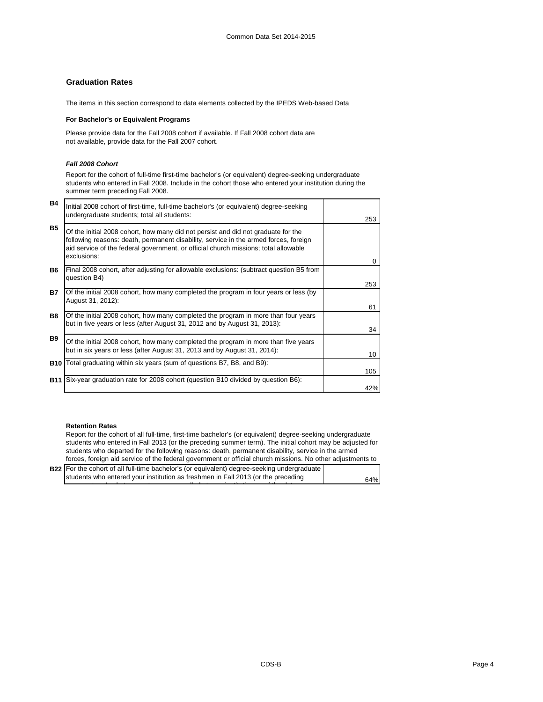## **Graduation Rates**

The items in this section correspond to data elements collected by the IPEDS Web-based Data

## **For Bachelor's or Equivalent Programs**

Please provide data for the Fall 2008 cohort if available. If Fall 2008 cohort data are not available, provide data for the Fall 2007 cohort.

## *Fall 2008 Cohort*

Report for the cohort of full-time first-time bachelor's (or equivalent) degree-seeking undergraduate students who entered in Fall 2008. Include in the cohort those who entered your institution during the summer term preceding Fall 2008.

| B4         | Initial 2008 cohort of first-time, full-time bachelor's (or equivalent) degree-seeking<br>undergraduate students; total all students:                                                                                                                                           |          |
|------------|---------------------------------------------------------------------------------------------------------------------------------------------------------------------------------------------------------------------------------------------------------------------------------|----------|
| <b>B5</b>  |                                                                                                                                                                                                                                                                                 | 253      |
|            | Of the initial 2008 cohort, how many did not persist and did not graduate for the<br>following reasons: death, permanent disability, service in the armed forces, foreign<br>aid service of the federal government, or official church missions; total allowable<br>exclusions: |          |
|            |                                                                                                                                                                                                                                                                                 | $\Omega$ |
| <b>B6</b>  | Final 2008 cohort, after adjusting for allowable exclusions: (subtract question B5 from<br>question B4)                                                                                                                                                                         |          |
|            |                                                                                                                                                                                                                                                                                 | 253      |
| <b>B7</b>  | Of the initial 2008 cohort, how many completed the program in four years or less (by<br>August 31, 2012):                                                                                                                                                                       |          |
|            |                                                                                                                                                                                                                                                                                 | 61       |
| <b>B8</b>  | Of the initial 2008 cohort, how many completed the program in more than four years                                                                                                                                                                                              |          |
|            | but in five years or less (after August 31, 2012 and by August 31, 2013):                                                                                                                                                                                                       | 34       |
| <b>B</b> 9 | Of the initial 2008 cohort, how many completed the program in more than five years                                                                                                                                                                                              |          |
|            | but in six years or less (after August 31, 2013 and by August 31, 2014):                                                                                                                                                                                                        | 10       |
|            | <b>B10</b> Total graduating within six years (sum of questions B7, B8, and B9):                                                                                                                                                                                                 |          |
|            |                                                                                                                                                                                                                                                                                 | 105      |
| <b>B11</b> | Six-year graduation rate for 2008 cohort (question B10 divided by question B6):                                                                                                                                                                                                 |          |
|            |                                                                                                                                                                                                                                                                                 | 42%      |

## **Retention Rates**

Report for the cohort of all full-time, first-time bachelor's (or equivalent) degree-seeking undergraduate students who entered in Fall 2013 (or the preceding summer term). The initial cohort may be adjusted for students who departed for the following reasons: death, permanent disability, service in the armed forces, foreign aid service of the federal government or official church missions. No other adjustments to

| <b>B22</b> For the cohort of all full-time bachelor's (or equivalent) degree-seeking undergraduate |     |
|----------------------------------------------------------------------------------------------------|-----|
| students who entered your institution as freshmen in Fall 2013 (or the preceding                   | 64% |

s mmer term) hat percentage as enrolled at o r instit tion as of the date o r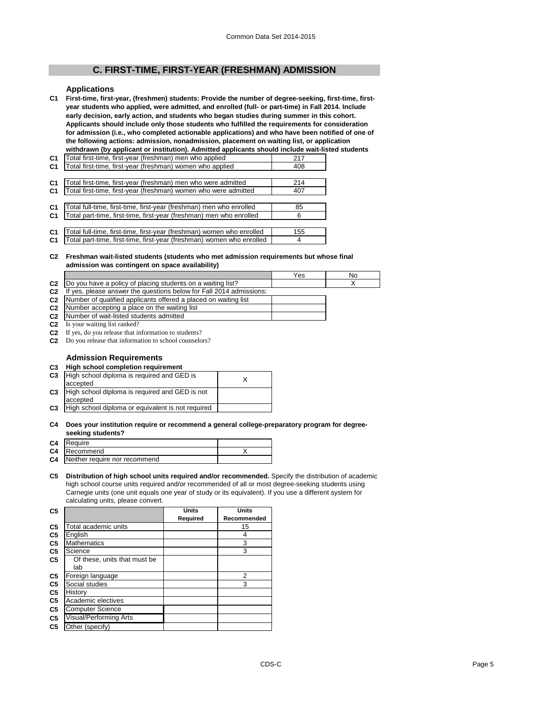## **C. FIRST-TIME, FIRST-YEAR (FRESHMAN) ADMISSION**

#### **Applications**

**C1 First-time, first-year, (freshmen) students: Provide the number of degree-seeking, first-time, firstyear students who applied, were admitted, and enrolled (full- or part-time) in Fall 2014. Include early decision, early action, and students who began studies during summer in this cohort. Applicants should include only those students who fulfilled the requirements for consideration for admission (i.e., who completed actionable applications) and who have been notified of one of the following actions: admission, nonadmission, placement on waiting list, or application withdrawn (by applicant or institution). Admitted applicants should include wait-listed students** 

| C1             | Total first-time, first-year (freshman) men who applied               | 217 |
|----------------|-----------------------------------------------------------------------|-----|
| C <sub>1</sub> | Total first-time, first-year (freshman) women who applied             | 408 |
|                |                                                                       |     |
| C <sub>1</sub> | Total first-time, first-year (freshman) men who were admitted         | 214 |
| C <sub>1</sub> | Total first-time, first-year (freshman) women who were admitted       | 407 |
|                |                                                                       |     |
| C <sub>1</sub> | Total full-time, first-time, first-year (freshman) men who enrolled   | 85  |
| C <sub>1</sub> | Total part-time, first-time, first-year (freshman) men who enrolled   | 6   |
|                |                                                                       |     |
| C <sub>1</sub> | Total full-time, first-time, first-year (freshman) women who enrolled | 155 |
| C <sub>1</sub> | Total part-time, first-time, first-year (freshman) women who enrolled | 4   |
|                |                                                                       |     |

#### **C2 Freshman wait-listed students (students who met admission requirements but whose final admission was contingent on space availability)**

|                |                                                                     | Yes | Nο |
|----------------|---------------------------------------------------------------------|-----|----|
| C <sub>2</sub> | Do you have a policy of placing students on a waiting list?         |     |    |
| C <sub>2</sub> | If yes, please answer the questions below for Fall 2014 admissions: |     |    |

- **C2**
- **C2 C2** Number of qualified applicants offered a placed on waiting list Number accepting a place on the waiting list
- **C2** Number of wait-listed students admitted
- **C2** Is your waiting list ranked?
- **C2** If yes, do you release that information to students?
- **C2** Do you release that information to school counselors?

## **Admission Requirements**

## **C3 High school completion requirement**

| C <sub>3</sub> | High school diploma is required and GED is        |  |
|----------------|---------------------------------------------------|--|
|                | accepted                                          |  |
| C <sub>3</sub> | High school diploma is required and GED is not    |  |
|                | accepted                                          |  |
| C <sub>3</sub> | High school diploma or equivalent is not required |  |

#### **C4 Does your institution require or recommend a general college-preparatory program for degreeseeking students?**

| <u>ooonnig omaanimet</u>                |  |
|-----------------------------------------|--|
| C4 Require                              |  |
| <b>C4</b> Recommend                     |  |
| <b>C4</b> Neither require nor recommend |  |
|                                         |  |

#### **C5 Distribution of high school units required and/or recommended.** Specify the distribution of academic high school course units required and/or recommended of all or most degree-seeking students using Carnegie units (one unit equals one year of study or its equivalent). If you use a different system for calculating units, please convert.

| C <sub>5</sub> |                              | <b>Units</b> | <b>Units</b> |
|----------------|------------------------------|--------------|--------------|
|                |                              | Required     | Recommended  |
| C <sub>5</sub> | Total academic units         |              | 15           |
| C <sub>5</sub> | English                      |              | 4            |
| C <sub>5</sub> | <b>Mathematics</b>           |              | 3            |
| C <sub>5</sub> | Science                      |              | 3            |
| C5             | Of these, units that must be |              |              |
|                | lab                          |              |              |
| C <sub>5</sub> | Foreign language             |              | 2            |
| C <sub>5</sub> | Social studies               |              | 3            |
| C <sub>5</sub> | History                      |              |              |
| C <sub>5</sub> | Academic electives           |              |              |
| C <sub>5</sub> | <b>Computer Science</b>      |              |              |
| C <sub>5</sub> | Visual/Performing Arts       |              |              |
| C <sub>5</sub> | Other (specify)              |              |              |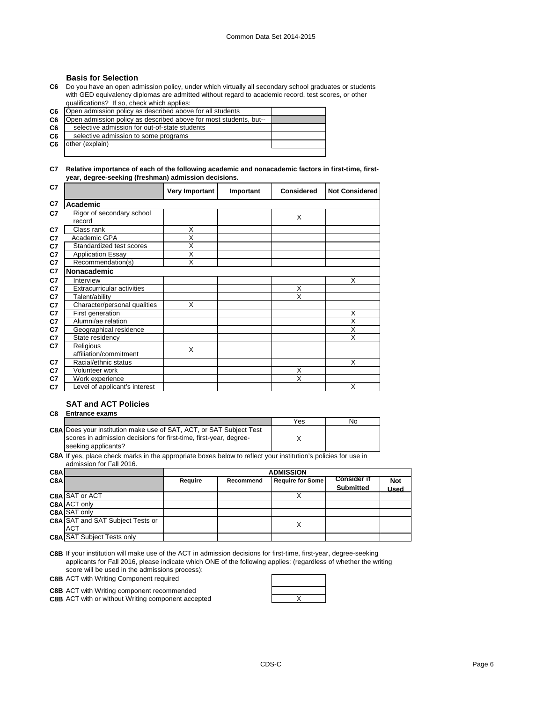## **Basis for Selection**

**C6** Do you have an open admission policy, under which virtually all secondary school graduates or students with GED equivalency diplomas are admitted without regard to academic record, test scores, or other qualifications? If so, check which applies:

**C6**

| C6.            | Den admission policy as described above for all students          |  |
|----------------|-------------------------------------------------------------------|--|
| C6             | Open admission policy as described above for most students, but-- |  |
| C6             | selective admission for out-of-state students                     |  |
| C <sub>6</sub> | selective admission to some programs                              |  |
| C <sub>6</sub> | other (explain)                                                   |  |
|                |                                                                   |  |

**C7 Relative importance of each of the following academic and nonacademic factors in first-time, firstyear, degree-seeking (freshman) admission decisions.**

| C7 |                                     | Very Important          | Important | <b>Considered</b> | <b>Not Considered</b> |
|----|-------------------------------------|-------------------------|-----------|-------------------|-----------------------|
| C7 | Academic                            |                         |           |                   |                       |
| C7 | Rigor of secondary school<br>record |                         |           | X                 |                       |
| C7 | Class rank                          | X                       |           |                   |                       |
| C7 | Academic GPA                        | $\overline{\mathsf{x}}$ |           |                   |                       |
| C7 | Standardized test scores            | X                       |           |                   |                       |
| C7 | <b>Application Essay</b>            | X                       |           |                   |                       |
| C7 | Recommendation(s)                   | $\overline{\mathsf{x}}$ |           |                   |                       |
| C7 | <b>Nonacademic</b>                  |                         |           |                   |                       |
| C7 | Interview                           |                         |           |                   | X                     |
| C7 | Extracurricular activities          |                         |           | X                 |                       |
| C7 | Talent/ability                      |                         |           | X                 |                       |
| C7 | Character/personal qualities        | X                       |           |                   |                       |
| C7 | First generation                    |                         |           |                   | X                     |
| C7 | Alumni/ae relation                  |                         |           |                   | X                     |
| C7 | Geographical residence              |                         |           |                   | X                     |
| C7 | State residency                     |                         |           |                   | X                     |
| C7 | Religious                           | X                       |           |                   |                       |
|    | affiliation/commitment              |                         |           |                   |                       |
| C7 | Racial/ethnic status                |                         |           |                   | X                     |
| C7 | Volunteer work                      |                         |           | X                 |                       |
| C7 | Work experience                     |                         |           | X                 |                       |
| C7 | Level of applicant's interest       |                         |           |                   | X                     |

## **SAT and ACT Policies**

## **C8 Entrance exams**

|                                                                            | Yes | No. |
|----------------------------------------------------------------------------|-----|-----|
| <b>C8AIDoes your institution make use of SAT, ACT, or SAT Subject Test</b> |     |     |
| scores in admission decisions for first-time, first-year, degree-          |     |     |
| seeking applicants?                                                        |     |     |

**C8A** If yes, place check marks in the appropriate boxes below to reflect your institution's policies for use in admission for Fall 2016.

| C8A              |                                         | <b>ADMISSION</b> |           |                         |                                        |                           |
|------------------|-----------------------------------------|------------------|-----------|-------------------------|----------------------------------------|---------------------------|
| C <sub>8</sub> A |                                         | Reauire          | Recommend | <b>Require for Some</b> | <b>Consider if</b><br><b>Submitted</b> | <b>Not</b><br><b>Used</b> |
|                  | <b>C8A SAT or ACT</b>                   |                  |           |                         |                                        |                           |
|                  | C8A ACT only                            |                  |           |                         |                                        |                           |
|                  | <b>C8A SAT only</b>                     |                  |           |                         |                                        |                           |
|                  | <b>C8A SAT and SAT Subject Tests or</b> |                  |           |                         |                                        |                           |
|                  | ACT                                     |                  |           |                         |                                        |                           |
|                  | <b>C8A SAT Subject Tests only</b>       |                  |           |                         |                                        |                           |

**C8B** If your institution will make use of the ACT in admission decisions for first-time, first-year, degree-seeking applicants for Fall 2016, please indicate which ONE of the following applies: (regardless of whether the writing score will be used in the admissions process):

**C8B** ACT with Writing Component required



**C8B** ACT with or without Writing component accepted **ACT** Minimum Muslem CRS

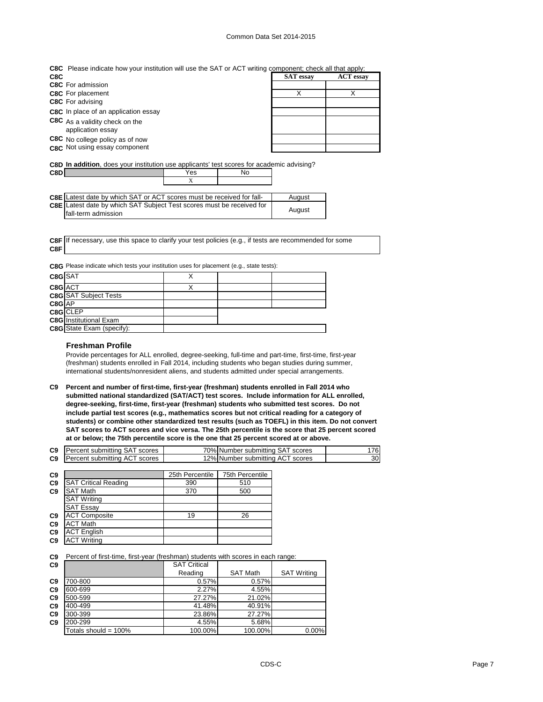## Common Data Set 2014-2015

| <b>C8C</b> Please indicate how your institution will use the SAT or ACT writing component; check all that apply: |  |  |  |
|------------------------------------------------------------------------------------------------------------------|--|--|--|
|                                                                                                                  |  |  |  |

| C8C                                                 | <b>SAT</b> essay | <b>ACT</b> essay |
|-----------------------------------------------------|------------------|------------------|
| <b>C8C</b> For admission                            |                  |                  |
| <b>C8C</b> For placement                            |                  |                  |
| <b>C8C</b> For advising                             |                  |                  |
| C8C In place of an application essay                |                  |                  |
| C8C As a validity check on the<br>application essay |                  |                  |
| C8C No college policy as of now                     |                  |                  |
| C <sub>8</sub> C Not using essay component          |                  |                  |

**C8D In addition**, does your institution use applicants' test scores for academic advising?

| C8D I |                                                                              | Yes | N۵ |        |
|-------|------------------------------------------------------------------------------|-----|----|--------|
|       |                                                                              |     |    |        |
|       |                                                                              |     |    |        |
|       | <b>C8E</b> Latest date by which SAT or ACT scores must be received for fall- |     |    | August |
|       |                                                                              |     |    |        |

| <b>COL</b> Latest date by WHICH OFF OF HOT SCOTES HIGH DETECTIVED TO TAIL    | nuuust |
|------------------------------------------------------------------------------|--------|
| <b>C8E</b> Latest date by which SAT Subject Test scores must be received for |        |
| fall-term admission                                                          | August |

**C8F** If necessary, use this space to clarify your test policies (e.g., if tests are recommended for some **C8F**

**C8G** Please indicate which tests your institution uses for placement (e.g., state tests):

| C8G SAT |                               |  |  |
|---------|-------------------------------|--|--|
| C8G ACT |                               |  |  |
|         | <b>C8G</b> SAT Subject Tests  |  |  |
| C8G AP  |                               |  |  |
|         | C8G CLEP                      |  |  |
|         | <b>C8G</b> Institutional Exam |  |  |
|         | C8G State Exam (specify):     |  |  |

## **Freshman Profile**

Provide percentages for ALL enrolled, degree-seeking, full-time and part-time, first-time, first-year (freshman) students enrolled in Fall 2014, including students who began studies during summer, international students/nonresident aliens, and students admitted under special arrangements.

**C9 Percent and number of first-time, first-year (freshman) students enrolled in Fall 2014 who submitted national standardized (SAT/ACT) test scores. Include information for ALL enrolled, degree-seeking, first-time, first-year (freshman) students who submitted test scores. Do not include partial test scores (e.g., mathematics scores but not critical reading for a category of students) or combine other standardized test results (such as TOEFL) in this item. Do not convert SAT scores to ACT scores and vice versa. The 25th percentile is the score that 25 percent scored at or below; the 75th percentile score is the one that 25 percent scored at or above.**

| <b>C9</b> Percent submitting SAT scores | 70% Number submitting SAT scores |    |
|-----------------------------------------|----------------------------------|----|
| <b>C9</b> Percent submitting ACT scores | 12% Number submitting ACT scores | 30 |

|                |                             | 25th Percentile | 75th Percentile |
|----------------|-----------------------------|-----------------|-----------------|
| C <sub>9</sub> |                             |                 |                 |
| C <sub>9</sub> | <b>SAT Critical Reading</b> | 390             | 510             |
| C <sub>9</sub> | <b>SAT Math</b>             | 370             | 500             |
|                | <b>SAT Writing</b>          |                 |                 |
|                | <b>SAT Essay</b>            |                 |                 |
| C <sub>9</sub> | <b>ACT Composite</b>        | 19              | 26              |
| C <sub>9</sub> | <b>ACT Math</b>             |                 |                 |
| C <sub>9</sub> | <b>ACT English</b>          |                 |                 |
| C <sub>9</sub> | <b>ACT Writing</b>          |                 |                 |

**C9** Percent of first-time, first-year (freshman) students with scores in each range:

| C <sub>9</sub> |                         | <b>SAT Critical</b> |                 |                    |
|----------------|-------------------------|---------------------|-----------------|--------------------|
|                |                         | Reading             | <b>SAT Math</b> | <b>SAT Writing</b> |
| C <sub>9</sub> | 700-800                 | 0.57%               | 0.57%           |                    |
| C <sub>9</sub> | 600-699                 | 2.27%               | 4.55%           |                    |
| C <sub>9</sub> | 500-599                 | 27.27%              | 21.02%          |                    |
| C <sub>9</sub> | 400-499                 | 41.48%              | 40.91%          |                    |
| C <sub>9</sub> | 300-399                 | 23.86%              | 27.27%          |                    |
| C <sub>9</sub> | 200-299                 | 4.55%               | 5.68%           |                    |
|                | Totals should = $100\%$ | 100.00%             | 100.00%         | 0.00%              |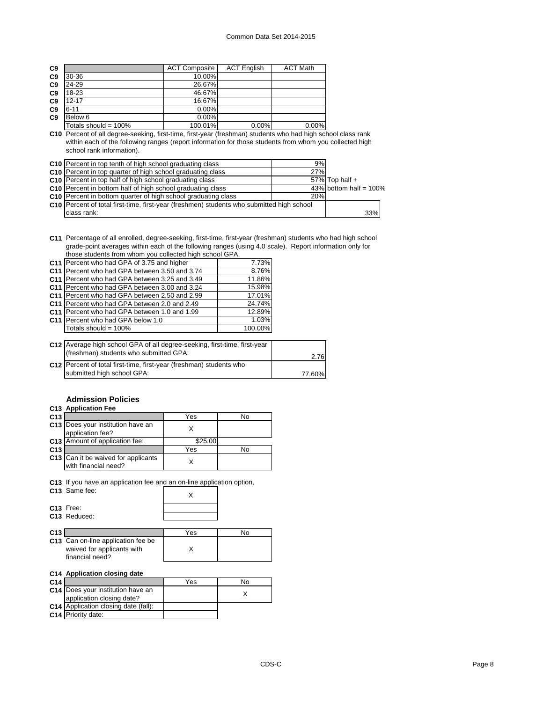| C <sub>9</sub> |                         | <b>ACT Composite</b> | <b>ACT English</b> | <b>ACT Math</b> |
|----------------|-------------------------|----------------------|--------------------|-----------------|
| C <sub>9</sub> | 30-36                   | 10.00%               |                    |                 |
| C <sub>9</sub> | 24-29                   | 26.67%               |                    |                 |
| C <sub>9</sub> | 18-23                   | 46.67%               |                    |                 |
| C <sub>9</sub> | $12 - 17$               | 16.67%               |                    |                 |
| C <sub>9</sub> | $6 - 11$                | 0.00%                |                    |                 |
| C <sub>9</sub> | Below 6                 | 0.00%                |                    |                 |
|                | Totals should = $100\%$ | 100.01%              | 0.00%              | 0.00%           |

**C10** Percent of all degree-seeking, first-time, first-year (freshman) students who had high school class rank within each of the following ranges (report information for those students from whom you collected high school rank information).

| <b>C10</b> Percent in top tenth of high school graduating class                             | 9%  |                           |
|---------------------------------------------------------------------------------------------|-----|---------------------------|
| C10 Percent in top quarter of high school graduating class                                  | 27% |                           |
| C <sub>10</sub> Percent in top half of high school graduating class                         |     | 57% Top half $+$          |
| C10 Percent in bottom half of high school graduating class                                  |     | 43% bottom half = $100\%$ |
| C10 Percent in bottom quarter of high school graduating class                               | 20% |                           |
| C10   Percent of total first-time, first-year (freshmen) students who submitted high school |     |                           |
| class rank:                                                                                 |     | 33%                       |

**C11** Percentage of all enrolled, degree-seeking, first-time, first-year (freshman) students who had high school grade-point averages within each of the following ranges (using 4.0 scale). Report information only for those students from whom you collected high school GPA.

|                 | C11 Percent who had GPA of 3.75 and higher                                | 7.73%   |        |
|-----------------|---------------------------------------------------------------------------|---------|--------|
| C <sub>11</sub> | Percent who had GPA between 3.50 and 3.74                                 | 8.76%   |        |
| C11             | Percent who had GPA between 3.25 and 3.49                                 | 11.86%  |        |
| C <sub>11</sub> | Percent who had GPA between 3.00 and 3.24                                 | 15.98%  |        |
| C <sub>11</sub> | Percent who had GPA between 2.50 and 2.99                                 | 17.01%  |        |
| C11             | Percent who had GPA between 2.0 and 2.49                                  | 24.74%  |        |
| C <sub>11</sub> | Percent who had GPA between 1.0 and 1.99                                  | 12.89%  |        |
|                 | C <sub>11</sub> Percent who had GPA below 1.0                             | 1.03%   |        |
|                 | Totals should = $100\%$                                                   | 100.00% |        |
|                 |                                                                           |         |        |
|                 | C12 Average high school GPA of all degree-seeking, first-time, first-year |         |        |
|                 | (freshman) students who submitted GPA:                                    |         | 2.76   |
|                 | C12 Percent of total first-time, first-year (freshman) students who       |         |        |
|                 | submitted high school GPA:                                                |         | 77.60% |

## **Admission Policies**

## **C13 Application Fee**

| C <sub>13</sub> |                                                                    | Yes     | N٥ |
|-----------------|--------------------------------------------------------------------|---------|----|
|                 | C13 Does your institution have an<br>application fee?              |         |    |
|                 | C13 Amount of application fee:                                     | \$25.00 |    |
| C <sub>13</sub> |                                                                    | Yes     |    |
|                 | <b>C13</b> Can it be waived for applicants<br>with financial need? |         |    |

**C13** If you have an application fee an<u>d an on-line applic</u>ation option,

|                 | C <sub>13</sub> Same fee:                                                           | Χ   |    |
|-----------------|-------------------------------------------------------------------------------------|-----|----|
|                 | C <sub>13</sub> Free:<br>C <sub>13</sub> Reduced:                                   |     |    |
| C <sub>13</sub> |                                                                                     | Yes | No |
|                 | C13 Can on-line application fee be<br>waived for applicants with<br>financial need? |     |    |
|                 | C14 Application closing date                                                        |     |    |
| C <sub>14</sub> |                                                                                     | Yes | No |

|                                      | . | . |
|--------------------------------------|---|---|
| C14 Does your institution have an    |   |   |
| application closing date?            |   |   |
| C14 Application closing date (fall): |   |   |
| <b>C14</b> Priority date:            |   |   |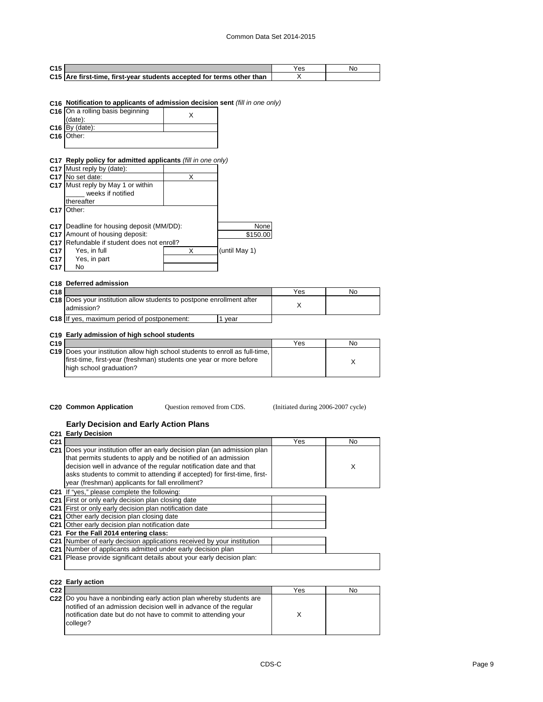| C <sub>15</sub> |                                                                       |  |
|-----------------|-----------------------------------------------------------------------|--|
|                 | C15 Are first-time, first-year students accepted for terms other than |  |

## **C16 Notification to applicants of admission decision sent** *(fill in one only)*

| C16 On a rolling basis beginning |  |
|----------------------------------|--|
| (date):                          |  |
| $C16$ By (date):                 |  |
| C16 Other:                       |  |
|                                  |  |

## **C17 Reply policy for admitted applicants** *(fill in one only)*

|                 | C17 Must reply by (date):              |   |               |
|-----------------|----------------------------------------|---|---------------|
| C <sub>17</sub> | No set date:                           | X |               |
|                 | C17 Must reply by May 1 or within      |   |               |
|                 | weeks if notified                      |   |               |
|                 | thereafter                             |   |               |
| C <sub>17</sub> | Other:                                 |   |               |
|                 |                                        |   |               |
| C <sub>17</sub> | Deadline for housing deposit (MM/DD):  |   | None          |
| C <sub>17</sub> | Amount of housing deposit:             |   | \$150.00      |
| C <sub>17</sub> | Refundable if student does not enroll? |   |               |
| C <sub>17</sub> | Yes, in full                           | x | (until May 1) |
| C <sub>17</sub> | Yes, in part                           |   |               |
| C <sub>17</sub> | No                                     |   |               |
|                 |                                        |   |               |

## **C18 Deferred admission**

| C <sub>18</sub> |                                                                                            | Yes | N <sub>0</sub> |
|-----------------|--------------------------------------------------------------------------------------------|-----|----------------|
|                 | <b>C18</b> Does your institution allow students to postpone enrollment after<br>admission? |     |                |
|                 | <b>C18</b> If yes, maximum period of postponement:<br>vear                                 |     |                |

## **C19 Early admission of high school students**

| C <sub>19</sub> |                                                                                               | Yes | No |
|-----------------|-----------------------------------------------------------------------------------------------|-----|----|
|                 | <b>C19</b> Does your institution allow high school students to enroll as full-time.           |     |    |
|                 | first-time, first-year (freshman) students one year or more before<br>high school graduation? |     |    |

**C20 Common Application** Cuestion removed from CDS. (Initiated during 2006-2007 cycle)

#### **Early Decision and Early Action Plans C21 Early Decision**

|                 | G21 Early Decision                                                        |     |    |
|-----------------|---------------------------------------------------------------------------|-----|----|
| C <sub>21</sub> |                                                                           | Yes | No |
|                 | C21 Does your institution offer an early decision plan (an admission plan |     |    |
|                 | that permits students to apply and be notified of an admission            |     |    |
|                 | decision well in advance of the regular notification date and that        |     | X  |
|                 | asks students to commit to attending if accepted) for first-time, first-  |     |    |
|                 | year (freshman) applicants for fall enrollment?                           |     |    |
|                 | C21 If "yes," please complete the following:                              |     |    |
|                 | C <sub>21</sub> First or only early decision plan closing date            |     |    |
|                 | C21 First or only early decision plan notification date                   |     |    |
|                 | C21 Other early decision plan closing date                                |     |    |
|                 | C21 Other early decision plan notification date                           |     |    |
|                 | C21 For the Fall 2014 entering class:                                     |     |    |
|                 | C21 Number of early decision applications received by your institution    |     |    |
|                 | C21 Number of applicants admitted under early decision plan               |     |    |
|                 | C21 Please provide significant details about your early decision plan:    |     |    |
|                 |                                                                           |     |    |

#### **C22 Early action**

| C <sub>22</sub> |                                                                                                                                                                                                                      | Yes | No |
|-----------------|----------------------------------------------------------------------------------------------------------------------------------------------------------------------------------------------------------------------|-----|----|
|                 | C22 Do you have a nonbinding early action plan whereby students are<br>notified of an admission decision well in advance of the regular<br>notification date but do not have to commit to attending your<br>college? |     |    |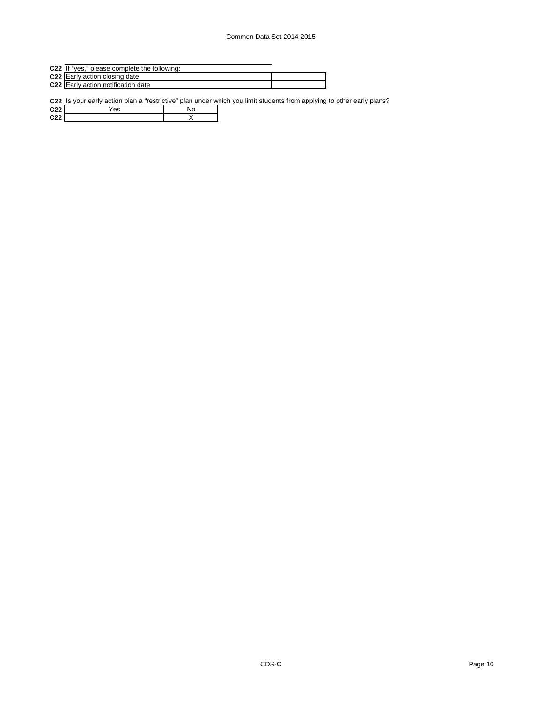- **C22** If "yes," please complete the following:
- **C22** Early action closing date
- **C22** Early action notification date

**C22** Is your early action plan a "restrictive" plan under which you limit students from applying to other early plans?

**C22** <u>Yes No</u> **C22** X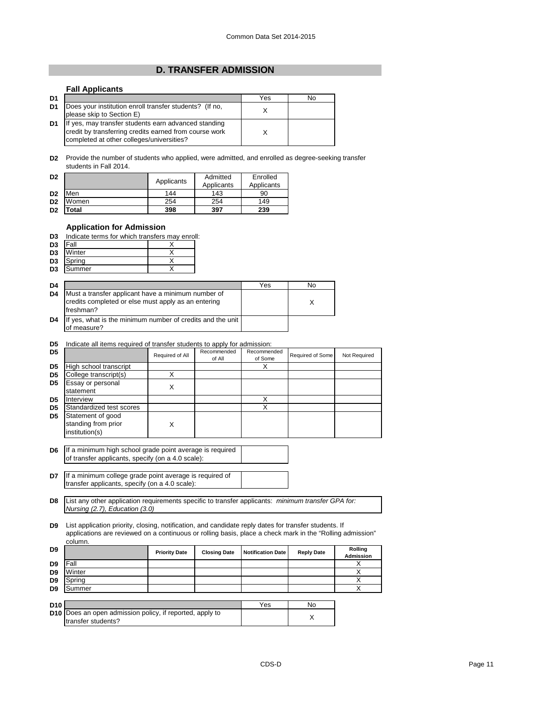## **D. TRANSFER ADMISSION**

## **Fall Applicants**

| D <sub>1</sub> |                                                                                                                                                             | Yes | No |
|----------------|-------------------------------------------------------------------------------------------------------------------------------------------------------------|-----|----|
| D <sub>1</sub> | Does your institution enroll transfer students? (If no,<br>please skip to Section E)                                                                        |     |    |
| D <sub>1</sub> | If yes, may transfer students earn advanced standing<br>credit by transferring credits earned from course work<br>completed at other colleges/universities? |     |    |

**D2** Provide the number of students who applied, were admitted, and enrolled as degree-seeking transfer students in Fall 2014.

| D <sub>2</sub> |       | Applicants | Admitted<br>Applicants | Enrolled<br>Applicants |  |
|----------------|-------|------------|------------------------|------------------------|--|
| D <sub>2</sub> | Men   | 144        | 143                    | 90                     |  |
| D <sub>2</sub> | Women | 254        | 254                    | 149                    |  |
| D <sub>2</sub> | 'otal | 398        | 397                    | 239                    |  |

## **Application for Admission**

| D3 | Indicate terms for which transfers may enroll: |  |  |  |  |
|----|------------------------------------------------|--|--|--|--|
|    |                                                |  |  |  |  |

| D <sub>3</sub> | Fall   |  |
|----------------|--------|--|
| D <sub>3</sub> | Winter |  |
| D <sub>3</sub> | Spring |  |
|                |        |  |

| D <sub>3</sub><br>Summer |  |
|--------------------------|--|
|                          |  |

| D <sub>4</sub> |                                                                                                                        | Yes | No |
|----------------|------------------------------------------------------------------------------------------------------------------------|-----|----|
| D <sub>4</sub> | Must a transfer applicant have a minimum number of<br>credits completed or else must apply as an entering<br>freshman? |     |    |
| D <sub>4</sub> | If yes, what is the minimum number of credits and the unit<br>of measure?                                              |     |    |

#### **D5** Indicate all items required of transfer students to apply for admission:

| D5             |                                                            | Required of All | Recommended<br>of All | Recommended<br>of Some | Required of Some | Not Required |
|----------------|------------------------------------------------------------|-----------------|-----------------------|------------------------|------------------|--------------|
| D <sub>5</sub> | High school transcript                                     |                 |                       |                        |                  |              |
| D <sub>5</sub> | College transcript(s)                                      |                 |                       |                        |                  |              |
| D <sub>5</sub> | Essay or personal<br>statement                             | v               |                       |                        |                  |              |
| D <sub>5</sub> | Interview                                                  |                 |                       |                        |                  |              |
| D <sub>5</sub> | Standardized test scores                                   |                 |                       |                        |                  |              |
| D <sub>5</sub> | Statement of good<br>standing from prior<br>institution(s) |                 |                       |                        |                  |              |

**D6** If a minimum high school grade point average is required of transfer applicants, specify (on a 4.0 scale):

**D7** If a minimum college grade point average is required of transfer applicants, specify (on a 4.0 scale):

**D8** List any other application requirements specific to transfer applicants: *minimum transfer GPA for: Nursing (2.7), Education (3.0)*

**D9** List application priority, closing, notification, and candidate reply dates for transfer students. If applications are reviewed on a continuous or rolling basis, place a check mark in the "Rolling admission" column.

| D <sub>9</sub>  |        | <b>Priority Date</b> | <b>Closing Date</b> | <b>Notification Date</b> | <b>Reply Date</b> | Rolling<br><b>Admission</b> |
|-----------------|--------|----------------------|---------------------|--------------------------|-------------------|-----------------------------|
| D9              | Fall   |                      |                     |                          |                   |                             |
| D <sub>9</sub>  | Winter |                      |                     |                          |                   |                             |
| D <sub>9</sub>  | Spring |                      |                     |                          |                   |                             |
| D <sub>9</sub>  | Summer |                      |                     |                          |                   |                             |
|                 |        |                      |                     |                          |                   |                             |
| D <sub>10</sub> |        |                      |                     | Yes                      | N٥                |                             |

| D <sub>10</sub> |                                                                 | Yes | Nο |
|-----------------|-----------------------------------------------------------------|-----|----|
|                 | <b>D10</b> Does an open admission policy, if reported, apply to |     |    |
|                 | transfer students?                                              |     |    |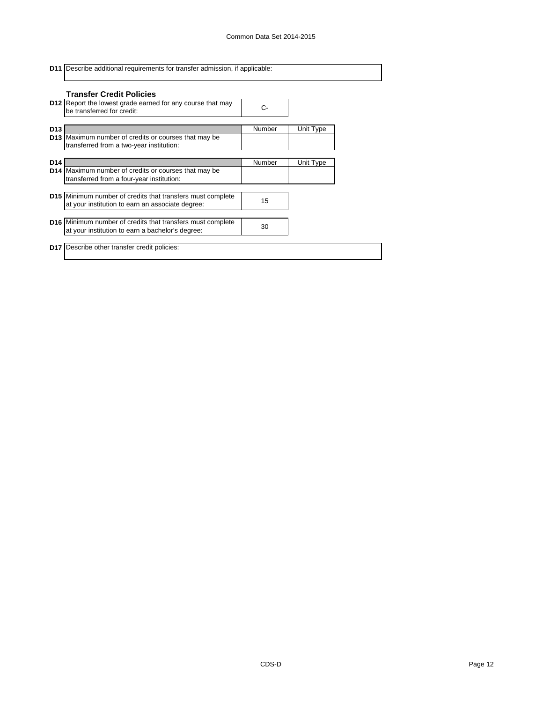|                 | <b>D11</b> Describe additional requirements for transfer admission, if applicable:                                    |        |           |  |  |
|-----------------|-----------------------------------------------------------------------------------------------------------------------|--------|-----------|--|--|
|                 | <b>Transfer Credit Policies</b>                                                                                       |        |           |  |  |
|                 | <b>D12</b> Report the lowest grade earned for any course that may<br>be transferred for credit:                       | C-     |           |  |  |
| D <sub>13</sub> |                                                                                                                       | Number | Unit Type |  |  |
|                 | <b>D13</b> Maximum number of credits or courses that may be<br>transferred from a two-year institution:               |        |           |  |  |
| D14             |                                                                                                                       | Number | Unit Type |  |  |
|                 | <b>D14</b> Maximum number of credits or courses that may be<br>transferred from a four-year institution:              |        |           |  |  |
|                 |                                                                                                                       |        |           |  |  |
|                 | <b>D15</b> Minimum number of credits that transfers must complete<br>at your institution to earn an associate degree: | 15     |           |  |  |
|                 |                                                                                                                       |        |           |  |  |
|                 | <b>D16</b> Minimum number of credits that transfers must complete<br>at your institution to earn a bachelor's degree: | 30     |           |  |  |
|                 | D17   Describe other transfer credit policies:                                                                        |        |           |  |  |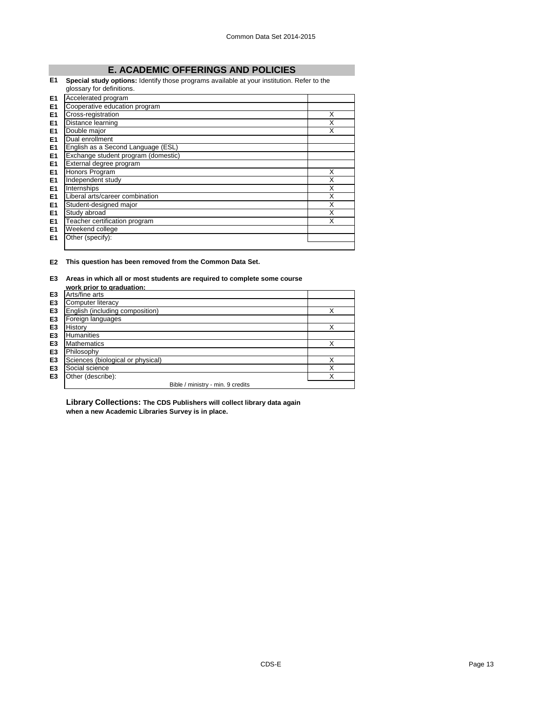# **E. ACADEMIC OFFERINGS AND POLICIES**

## **E1 Special study options:** Identify those programs available at your institution. Refer to the

|                | glossary for definitions.           |   |
|----------------|-------------------------------------|---|
| E <sub>1</sub> | Accelerated program                 |   |
| E <sub>1</sub> | Cooperative education program       |   |
| E <sub>1</sub> | Cross-registration                  | X |
| E <sub>1</sub> | Distance learning                   | X |
| E <sub>1</sub> | Double major                        | x |
| E <sub>1</sub> | Dual enrollment                     |   |
| E <sub>1</sub> | English as a Second Language (ESL)  |   |
| E <sub>1</sub> | Exchange student program (domestic) |   |
| E <sub>1</sub> | External degree program             |   |
| E <sub>1</sub> | Honors Program                      | X |
| E <sub>1</sub> | Independent study                   | х |
| E <sub>1</sub> | Internships                         | X |
| E <sub>1</sub> | Liberal arts/career combination     | X |
| E <sub>1</sub> | Student-designed major              | X |
| E <sub>1</sub> | Study abroad                        | X |
| E <sub>1</sub> | Teacher certification program       | X |
| E1             | Weekend college                     |   |
| E <sub>1</sub> | Other (specify):                    |   |
|                |                                     |   |

## **E2 This question has been removed from the Common Data Set.**

## **E3 Areas in which all or most students are required to complete some course**

|                | work prior to graduation:         |   |
|----------------|-----------------------------------|---|
| E <sub>3</sub> | Arts/fine arts                    |   |
| E <sub>3</sub> | Computer literacy                 |   |
| E <sub>3</sub> | English (including composition)   |   |
| E <sub>3</sub> | Foreign languages                 |   |
| E <sub>3</sub> | History                           | X |
| E <sub>3</sub> | <b>Humanities</b>                 |   |
| E <sub>3</sub> | <b>Mathematics</b>                | X |
| E <sub>3</sub> | Philosophy                        |   |
| E <sub>3</sub> | Sciences (biological or physical) | X |
| E <sub>3</sub> | Social science                    | X |
| E <sub>3</sub> | Other (describe):                 | X |
|                | Bible / ministry - min. 9 credits |   |

**Library Collections: The CDS Publishers will collect library data again when a new Academic Libraries Survey is in place.**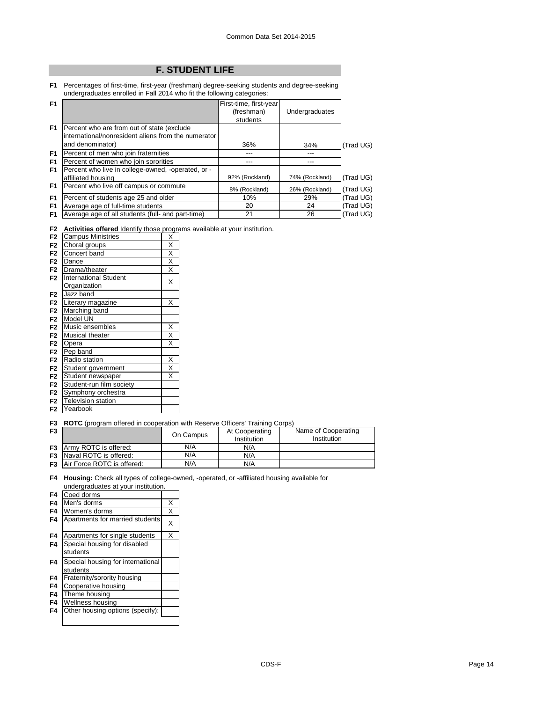# **F. STUDENT LIFE**

**F1** Percentages of first-time, first-year (freshman) degree-seeking students and degree-seeking undergraduates enrolled in Fall 2014 who fit the following categories:

| F <sub>1</sub>       |                                                                                                                        | First-time, first-year<br>(freshman)<br>students | Undergraduates        |           |
|----------------------|------------------------------------------------------------------------------------------------------------------------|--------------------------------------------------|-----------------------|-----------|
| F <sub>1</sub>       | Percent who are from out of state (exclude<br>linternational/nonresident aliens from the numerator<br>and denominator) | 36%                                              | 34%                   | (Trad UG) |
| F <sub>1</sub>       | Percent of men who join fraternities                                                                                   | ---                                              | ---                   |           |
| F <sub>1</sub><br>F1 | Percent of women who join sororities<br>Percent who live in college-owned, -operated, or -                             | ---<br>92% (Rockland)                            | ---<br>74% (Rockland) | (Trad UG) |
| F1                   | affiliated housing<br>Percent who live off campus or commute                                                           | 8% (Rockland)                                    | 26% (Rockland)        | (Trad UG) |
| F <sub>1</sub>       | Percent of students age 25 and older                                                                                   | 10%                                              | 29%                   | (Trad UG) |
| F <sub>1</sub>       | Average age of full-time students                                                                                      | 20                                               | 24                    | (Trad UG) |
| F1                   | Average age of all students (full- and part-time)                                                                      | 21                                               | 26                    | (Trad UG) |

## **F2 Activities offered** Identify those programs available at your institution.

| <b>Campus Ministries</b>     | Χ                       |
|------------------------------|-------------------------|
|                              | Χ                       |
| Concert band                 | Χ                       |
| Dance                        | X                       |
| Drama/theater                | X                       |
| <b>International Student</b> | X                       |
| Organization                 |                         |
| Jazz band                    |                         |
| Literary magazine            | X                       |
| Marching band                |                         |
| Model UN                     |                         |
| Music ensembles              | Χ                       |
| <b>Musical theater</b>       | X                       |
| Opera                        | X                       |
| Pep band                     |                         |
| Radio station                | Χ                       |
| Student government           | $\overline{\mathsf{x}}$ |
| Student newspaper            | X                       |
| Student-run film society     |                         |
| Symphony orchestra           |                         |
| <b>Television station</b>    |                         |
| Yearbook                     |                         |
|                              | Choral groups           |

## **F3 ROTC** (program offered in cooperation with Reserve Officers' Training Corps)

| F <sub>3</sub> |                                      | On Campus | At Cooperating<br>Institution | Name of Cooperating<br>Institution |
|----------------|--------------------------------------|-----------|-------------------------------|------------------------------------|
|                | <b>F3</b> Army ROTC is offered:      | N/A       | N/A                           |                                    |
|                | <b>F3</b> Naval ROTC is offered:     | N/A       | N/A                           |                                    |
|                | <b>F3</b> Air Force ROTC is offered: | N/A       | N/A                           |                                    |

**F4 Housing:** Check all types of college-owned, -operated, or -affiliated housing available for undergraduates at your institution.

| F4 | Coed dorms                        |   |
|----|-----------------------------------|---|
| F4 | Men's dorms                       | X |
| F4 | Women's dorms                     | X |
| F4 | Apartments for married students   | X |
| F4 | Apartments for single students    | X |
| F4 | Special housing for disabled      |   |
|    | students                          |   |
| F4 | Special housing for international |   |
|    | students                          |   |
| F4 | Fraternity/sorority housing       |   |
| F4 | Cooperative housing               |   |
| F4 | Theme housing                     |   |
| F4 | Wellness housing                  |   |
| F4 | Other housing options (specify):  |   |
|    |                                   |   |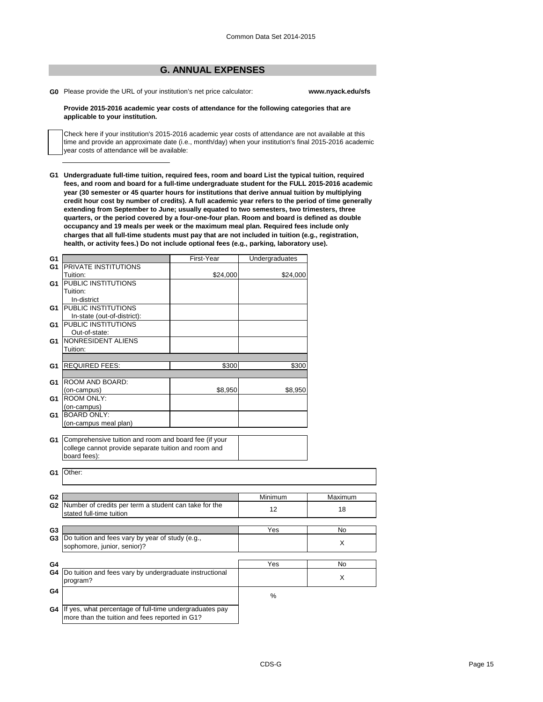## **G. ANNUAL EXPENSES**

**G0** Please provide the URL of your institution's net price calculator: **www.nyack.edu/sfs**

#### **Provide 2015-2016 academic year costs of attendance for the following categories that are applicable to your institution.**

Check here if your institution's 2015-2016 academic year costs of attendance are not available at this time and provide an approximate date (i.e., month/day) when your institution's final 2015-2016 academic year costs of attendance will be available:

**G1 Undergraduate full-time tuition, required fees, room and board List the typical tuition, required fees, and room and board for a full-time undergraduate student for the FULL 2015-2016 academic year (30 semester or 45 quarter hours for institutions that derive annual tuition by multiplying credit hour cost by number of credits). A full academic year refers to the period of time generally extending from September to June; usually equated to two semesters, two trimesters, three quarters, or the period covered by a four-one-four plan. Room and board is defined as double occupancy and 19 meals per week or the maximum meal plan. Required fees include only charges that all full-time students must pay that are not included in tuition (e.g., registration, health, or activity fees.) Do not include optional fees (e.g., parking, laboratory use).**

| G1             |                                                            | First-Year | Undergraduates |         |
|----------------|------------------------------------------------------------|------------|----------------|---------|
| G1             | <b>PRIVATE INSTITUTIONS</b>                                |            |                |         |
|                | Tuition:                                                   | \$24,000   | \$24,000       |         |
| G1             | PUBLIC INSTITUTIONS                                        |            |                |         |
|                | Tuition:                                                   |            |                |         |
|                | In-district                                                |            |                |         |
| G1             | <b>PUBLIC INSTITUTIONS</b>                                 |            |                |         |
|                | In-state (out-of-district):                                |            |                |         |
| G1             | <b>PUBLIC INSTITUTIONS</b>                                 |            |                |         |
|                | Out-of-state:                                              |            |                |         |
| G1             | NONRESIDENT ALIENS                                         |            |                |         |
|                | Tuition:                                                   |            |                |         |
|                |                                                            |            |                |         |
| G1             | <b>REQUIRED FEES:</b>                                      | \$300      | \$300          |         |
|                |                                                            |            |                |         |
| G1             | ROOM AND BOARD:                                            |            |                |         |
|                | (on-campus)                                                | \$8,950    | \$8,950        |         |
| G1             | <b>ROOM ONLY:</b>                                          |            |                |         |
|                | (on-campus)                                                |            |                |         |
| G1             | <b>BOARD ONLY:</b>                                         |            |                |         |
|                | (on-campus meal plan)                                      |            |                |         |
|                |                                                            |            |                |         |
| G1             | Comprehensive tuition and room and board fee (if your      |            |                |         |
|                | college cannot provide separate tuition and room and       |            |                |         |
|                | board fees):                                               |            |                |         |
|                |                                                            |            |                |         |
| G1             | Other:                                                     |            |                |         |
|                |                                                            |            |                |         |
|                |                                                            |            |                |         |
| G <sub>2</sub> |                                                            |            | Minimum        | Maximum |
|                | G2 Number of credits per term a student can take for the   |            | 12             | 18      |
|                | stated full-time tuition                                   |            |                |         |
|                |                                                            |            |                |         |
| G3             |                                                            |            | Yes            | No      |
| G3             | Do tuition and fees vary by year of study (e.g.,           |            |                | X       |
|                | sophomore, junior, senior)?                                |            |                |         |
|                |                                                            |            |                |         |
| G4             |                                                            |            | Yes            | No      |
| G4             | Do tuition and fees vary by undergraduate instructional    |            |                |         |
|                | program?                                                   |            |                | X       |
| G4             |                                                            |            |                |         |
|                |                                                            |            | $\%$           |         |
|                |                                                            |            |                |         |
|                | G4 If yes, what percentage of full-time undergraduates pay |            |                |         |
|                | more than the tuition and fees reported in G1?             |            |                |         |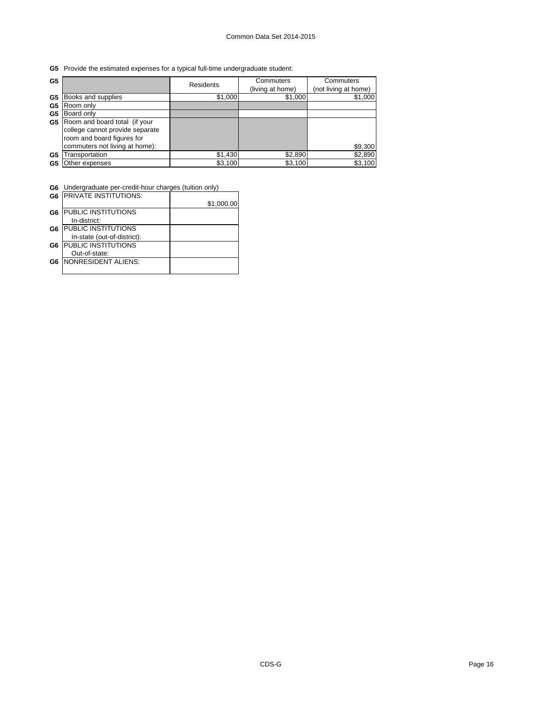**G5** Provide the estimated expenses for a typical full-time undergraduate student:

| G <sub>5</sub> |                                                                                                                                  | <b>Residents</b> | Commuters<br>(living at home) | Commuters<br>(not living at home) |
|----------------|----------------------------------------------------------------------------------------------------------------------------------|------------------|-------------------------------|-----------------------------------|
| G5             | Books and supplies                                                                                                               | \$1,000          | \$1,000                       | \$1,000                           |
| G5             | Room only                                                                                                                        |                  |                               |                                   |
| G5             | Board only                                                                                                                       |                  |                               |                                   |
| G5             | Room and board total (if your<br>college cannot provide separate<br>room and board figures for<br>commuters not living at home): |                  |                               | \$9,300                           |
| G5             | ransportation                                                                                                                    | \$1,430          | \$2,890                       | \$2,890                           |
| G5             | Other expenses                                                                                                                   | \$3,100          | \$3,100                       | \$3,100                           |

٦

**G6** Undergraduate per-credit-hour charges (tuition only)

|                | <b>G6 IPRIVATE INSTITUTIONS:</b> |            |
|----------------|----------------------------------|------------|
|                |                                  | \$1,000.00 |
| G <sub>6</sub> | <b>PUBLIC INSTITUTIONS</b>       |            |
|                | In-district:                     |            |
| G6             | <b>IPUBLIC INSTITUTIONS</b>      |            |
|                | In-state (out-of-district):      |            |
| G6             | <b>PUBLIC INSTITUTIONS</b>       |            |
|                | Out-of-state:                    |            |
| G6             | <b>INONRESIDENT ALIENS:</b>      |            |
|                |                                  |            |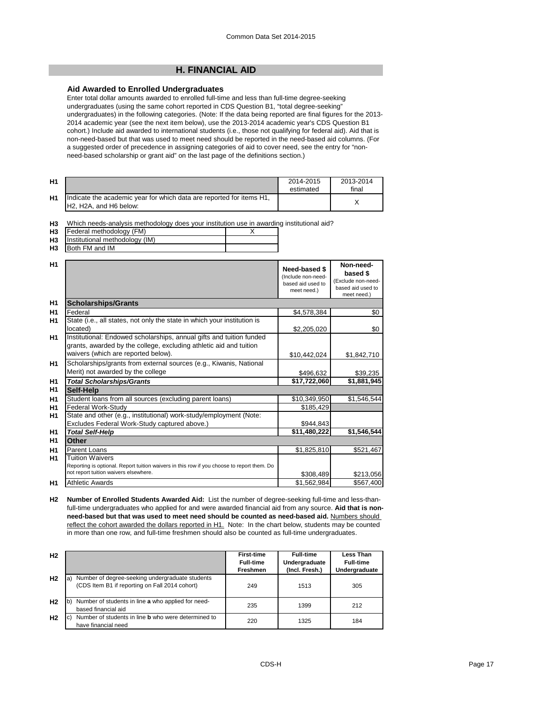## **H. FINANCIAL AID**

## **Aid Awarded to Enrolled Undergraduates**

Enter total dollar amounts awarded to enrolled full-time and less than full-time degree-seeking undergraduates (using the same cohort reported in CDS Question B1, "total degree-seeking" undergraduates) in the following categories. (Note: If the data being reported are final figures for the 2013- 2014 academic year (see the next item below), use the 2013-2014 academic year's CDS Question B1 cohort.) Include aid awarded to international students (i.e., those not qualifying for federal aid). Aid that is non-need-based but that was used to meet need should be reported in the need-based aid columns. (For a suggested order of precedence in assigning categories of aid to cover need, see the entry for "nonneed-based scholarship or grant aid" on the last page of the definitions section.)

| H <sub>1</sub> |                                                                                                                                      | 2014-2015<br>estimated | 2013-2014<br>final |
|----------------|--------------------------------------------------------------------------------------------------------------------------------------|------------------------|--------------------|
| H1             | Indicate the academic year for which data are reported for items H1,<br>H <sub>2</sub> . H <sub>2</sub> A, and H <sub>6</sub> below: |                        |                    |

**H3** Which needs-analysis methodology does your institution use in awarding institutional aid?

| H <sub>3</sub> | Federal methodology (FM) |                   |  |
|----------------|--------------------------|-------------------|--|
| .              |                          | $\cdots$ $\cdots$ |  |

**H3**  $FMA$  and  $IM$ Institutional methodology (IM)

| H3 | <b>IBoth FM and IM</b> |  |  |
|----|------------------------|--|--|
|    |                        |  |  |

| \$4,578,384                 |                                                                    |
|-----------------------------|--------------------------------------------------------------------|
|                             |                                                                    |
|                             | \$0                                                                |
|                             | \$0                                                                |
| \$10,442,024<br>\$1,842,710 |                                                                    |
| \$39,235                    |                                                                    |
| \$17,722,060<br>\$1,881,945 |                                                                    |
|                             |                                                                    |
| \$10,349,950<br>\$1,546,544 |                                                                    |
| \$185,429                   |                                                                    |
|                             |                                                                    |
| \$944,843                   |                                                                    |
| \$1,546,544                 |                                                                    |
|                             |                                                                    |
| \$1,825,810<br>\$521,467    |                                                                    |
|                             |                                                                    |
| \$1,562,984<br>\$567,400    |                                                                    |
|                             | \$2,205,020<br>\$496,632<br>\$11,480,222<br>\$308,489<br>\$213,056 |

**H2 Number of Enrolled Students Awarded Aid:** List the number of degree-seeking full-time and less-thanfull-time undergraduates who applied for and were awarded financial aid from any source. **Aid that is nonneed-based but that was used to meet need should be counted as need-based aid.** Numbers should reflect the cohort awarded the dollars reported in H1. Note: In the chart below, students may be counted in more than one row, and full-time freshmen should also be counted as full-time undergraduates.

| H <sub>2</sub> |                                                                                                        | <b>First-time</b> | <b>Full-time</b> | Less Than        |
|----------------|--------------------------------------------------------------------------------------------------------|-------------------|------------------|------------------|
|                |                                                                                                        | <b>Full-time</b>  | Undergraduate    | <b>Full-time</b> |
|                |                                                                                                        | Freshmen          | (Incl. Fresh.)   | Undergraduate    |
| H <sub>2</sub> | Number of degree-seeking undergraduate students<br>a<br>(CDS Item B1 if reporting on Fall 2014 cohort) | 249               | 1513             | 305              |
| H <sub>2</sub> | Number of students in line a who applied for need-<br>l b'<br>based financial aid                      | 235               | 1399             | 212              |
| H <sub>2</sub> | Number of students in line <b>b</b> who were determined to<br>$\vert$ C<br>have financial need         | 220               | 1325             | 184              |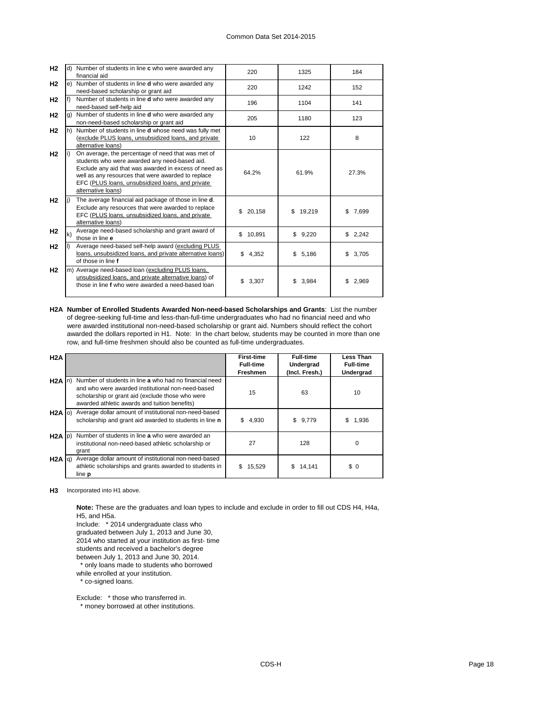| H <sub>2</sub> |    | d) Number of students in line c who were awarded any<br>financial aid                                                                                                                                                                                                                        | 220          | 1325         | 184         |
|----------------|----|----------------------------------------------------------------------------------------------------------------------------------------------------------------------------------------------------------------------------------------------------------------------------------------------|--------------|--------------|-------------|
| H <sub>2</sub> |    | e) Number of students in line <b>d</b> who were awarded any<br>need-based scholarship or grant aid                                                                                                                                                                                           | 220          | 1242         | 152         |
| H <sub>2</sub> |    | Number of students in line <b>d</b> who were awarded any<br>need-based self-help aid                                                                                                                                                                                                         | 196          | 1104         | 141         |
| H <sub>2</sub> | q) | Number of students in line <b>d</b> who were awarded any<br>non-need-based scholarship or grant aid                                                                                                                                                                                          | 205          | 1180         | 123         |
| H <sub>2</sub> | h) | Number of students in line d whose need was fully met<br>(exclude PLUS loans, unsubsidized loans, and private<br>alternative loans)                                                                                                                                                          | 10           | 122          | 8           |
| H <sub>2</sub> |    | On average, the percentage of need that was met of<br>students who were awarded any need-based aid.<br>Exclude any aid that was awarded in excess of need as<br>well as any resources that were awarded to replace<br>EFC (PLUS loans, unsubsidized loans, and private<br>alternative loans) | 64.2%        | 61.9%        | 27.3%       |
| H <sub>2</sub> |    | The average financial aid package of those in line d.<br>Exclude any resources that were awarded to replace<br>EFC (PLUS loans, unsubsidized loans, and private<br>alternative loans)                                                                                                        | \$<br>20,158 | \$<br>19,219 | \$<br>7,699 |
| H <sub>2</sub> | k) | Average need-based scholarship and grant award of<br>those in line e                                                                                                                                                                                                                         | \$10,891     | \$9,220      | \$2,242     |
| H <sub>2</sub> |    | Average need-based self-help award (excluding PLUS<br>loans, unsubsidized loans, and private alternative loans)<br>of those in line f                                                                                                                                                        | \$4,352      | \$5,186      | \$3,705     |
| H <sub>2</sub> |    | m) Average need-based loan (excluding PLUS loans,<br>unsubsidized loans, and private alternative loans) of<br>those in line f who were awarded a need-based loan                                                                                                                             | \$<br>3,307  | \$<br>3,984  | 2,969<br>\$ |

**H2A Number of Enrolled Students Awarded Non-need-based Scholarships and Grants**: List the number of degree-seeking full-time and less-than-full-time undergraduates who had no financial need and who were awarded institutional non-need-based scholarship or grant aid. Numbers should reflect the cohort awarded the dollars reported in H1. Note: In the chart below, students may be counted in more than one row, and full-time freshmen should also be counted as full-time undergraduates.

| H2A               |                                                                                                                                                                                                                  | <b>First-time</b> | <b>Full-time</b> | Less Than        |
|-------------------|------------------------------------------------------------------------------------------------------------------------------------------------------------------------------------------------------------------|-------------------|------------------|------------------|
|                   |                                                                                                                                                                                                                  | <b>Full-time</b>  | Undergrad        | <b>Full-time</b> |
|                   |                                                                                                                                                                                                                  | Freshmen          | (Incl. Fresh.)   | Undergrad        |
| $H2A \ln$         | Number of students in line a who had no financial need<br>and who were awarded institutional non-need-based<br>scholarship or grant aid (exclude those who were<br>awarded athletic awards and tuition benefits) | 15                | 63               | 10               |
| $H2A$ (0)         | Average dollar amount of institutional non-need-based<br>scholarship and grant aid awarded to students in line n                                                                                                 | \$<br>4,930       | \$9,779          | 1,936<br>S       |
| $H2A$ $ p\rangle$ | Number of students in line a who were awarded an<br>institutional non-need-based athletic scholarship or<br>grant                                                                                                | 27                | 128              | O                |
| H2A  q            | Average dollar amount of institutional non-need-based<br>athletic scholarships and grants awarded to students in<br>line <b>p</b>                                                                                | 15,529<br>S.      | 14,141<br>S.     | \$0              |

**H3** Incorporated into H1 above.

**Note:** These are the graduates and loan types to include and exclude in order to fill out CDS H4, H4a, H5, and H5a.

Include: \* 2014 undergraduate class who

graduated between July 1, 2013 and June 30,

2014 who started at your institution as first- time

students and received a bachelor's degree

between July 1, 2013 and June 30, 2014.

\* only loans made to students who borrowed

while enrolled at your institution.

\* co-signed loans.

Exclude: \* those who transferred in.

\* money borrowed at other institutions.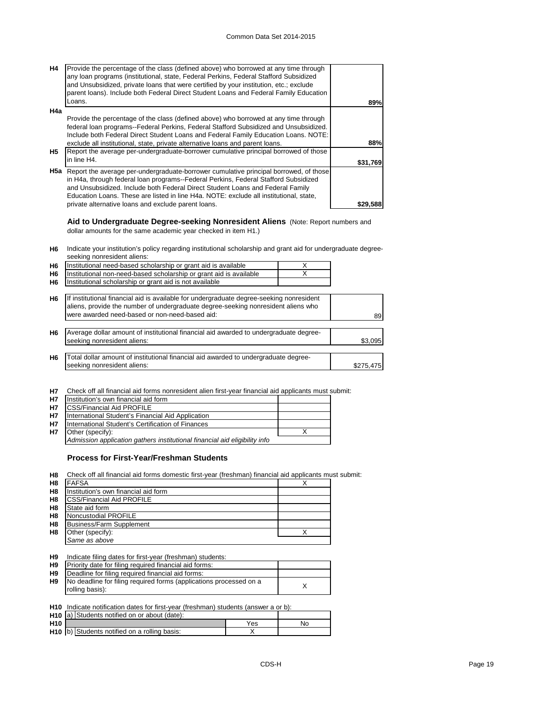| Loans.<br>89%<br>H4a<br>Provide the percentage of the class (defined above) who borrowed at any time through<br>federal loan programs--Federal Perkins, Federal Stafford Subsidized and Unsubsidized.<br>Include both Federal Direct Student Loans and Federal Family Education Loans. NOTE:<br>exclude all institutional, state, private alternative loans and parent loans.<br>88%<br>Report the average per-undergraduate-borrower cumulative principal borrowed of those<br><b>H5</b><br>in line H4.<br>\$31,769<br><b>H5a</b> Report the average per-undergraduate-borrower cumulative principal borrowed, of those<br>in H4a, through federal loan programs--Federal Perkins, Federal Stafford Subsidized<br>and Unsubsidized. Include both Federal Direct Student Loans and Federal Family<br>Education Loans. These are listed in line H4a. NOTE: exclude all institutional, state,<br>private alternative loans and exclude parent loans.<br>\$29.588 | <b>H4</b> | Provide the percentage of the class (defined above) who borrowed at any time through<br>any loan programs (institutional, state, Federal Perkins, Federal Stafford Subsidized<br>and Unsubsidized, private loans that were certified by your institution, etc.; exclude<br>parent loans). Include both Federal Direct Student Loans and Federal Family Education |  |
|----------------------------------------------------------------------------------------------------------------------------------------------------------------------------------------------------------------------------------------------------------------------------------------------------------------------------------------------------------------------------------------------------------------------------------------------------------------------------------------------------------------------------------------------------------------------------------------------------------------------------------------------------------------------------------------------------------------------------------------------------------------------------------------------------------------------------------------------------------------------------------------------------------------------------------------------------------------|-----------|------------------------------------------------------------------------------------------------------------------------------------------------------------------------------------------------------------------------------------------------------------------------------------------------------------------------------------------------------------------|--|
|                                                                                                                                                                                                                                                                                                                                                                                                                                                                                                                                                                                                                                                                                                                                                                                                                                                                                                                                                                |           |                                                                                                                                                                                                                                                                                                                                                                  |  |
|                                                                                                                                                                                                                                                                                                                                                                                                                                                                                                                                                                                                                                                                                                                                                                                                                                                                                                                                                                |           |                                                                                                                                                                                                                                                                                                                                                                  |  |
|                                                                                                                                                                                                                                                                                                                                                                                                                                                                                                                                                                                                                                                                                                                                                                                                                                                                                                                                                                |           |                                                                                                                                                                                                                                                                                                                                                                  |  |
|                                                                                                                                                                                                                                                                                                                                                                                                                                                                                                                                                                                                                                                                                                                                                                                                                                                                                                                                                                |           |                                                                                                                                                                                                                                                                                                                                                                  |  |
|                                                                                                                                                                                                                                                                                                                                                                                                                                                                                                                                                                                                                                                                                                                                                                                                                                                                                                                                                                |           |                                                                                                                                                                                                                                                                                                                                                                  |  |
|                                                                                                                                                                                                                                                                                                                                                                                                                                                                                                                                                                                                                                                                                                                                                                                                                                                                                                                                                                |           |                                                                                                                                                                                                                                                                                                                                                                  |  |
|                                                                                                                                                                                                                                                                                                                                                                                                                                                                                                                                                                                                                                                                                                                                                                                                                                                                                                                                                                |           |                                                                                                                                                                                                                                                                                                                                                                  |  |
|                                                                                                                                                                                                                                                                                                                                                                                                                                                                                                                                                                                                                                                                                                                                                                                                                                                                                                                                                                |           |                                                                                                                                                                                                                                                                                                                                                                  |  |
|                                                                                                                                                                                                                                                                                                                                                                                                                                                                                                                                                                                                                                                                                                                                                                                                                                                                                                                                                                |           |                                                                                                                                                                                                                                                                                                                                                                  |  |
|                                                                                                                                                                                                                                                                                                                                                                                                                                                                                                                                                                                                                                                                                                                                                                                                                                                                                                                                                                |           |                                                                                                                                                                                                                                                                                                                                                                  |  |

**Aid to Undergraduate Degree-seeking Nonresident Aliens** (Note: Report numbers and dollar amounts for the same academic year checked in item H1.)

**H6** Indicate your institution's policy regarding institutional scholarship and grant aid for undergraduate degreeseeking nonresident aliens:

| H <sub>6</sub> | Institutional need-based scholarship or grant aid is available                                                                                                                                                                  | X |           |
|----------------|---------------------------------------------------------------------------------------------------------------------------------------------------------------------------------------------------------------------------------|---|-----------|
| H <sub>6</sub> | Institutional non-need-based scholarship or grant aid is available                                                                                                                                                              |   |           |
| H <sub>6</sub> | Institutional scholarship or grant aid is not available                                                                                                                                                                         |   |           |
| H6             | If institutional financial aid is available for undergraduate degree-seeking nonresident<br>aliens, provide the number of undergraduate degree-seeking nonresident aliens who<br>were awarded need-based or non-need-based aid: |   | 89        |
|                |                                                                                                                                                                                                                                 |   |           |
| H <sub>6</sub> | Average dollar amount of institutional financial aid awarded to undergraduate degree-<br>seeking nonresident aliens:                                                                                                            |   | \$3,095   |
| H <sub>6</sub> | Total dollar amount of institutional financial aid awarded to undergraduate degree-                                                                                                                                             |   |           |
|                | seeking nonresident aliens:                                                                                                                                                                                                     |   | \$275,475 |
|                |                                                                                                                                                                                                                                 |   |           |

**H7** Check off all financial aid forms nonresident alien first-year financial aid applicants must submit:

| <b>H7</b> | Institution's own financial aid form                                       |  |
|-----------|----------------------------------------------------------------------------|--|
| <b>H7</b> | <b>ICSS/Financial Aid PROFILE</b>                                          |  |
| <b>H7</b> | International Student's Financial Aid Application                          |  |
| <b>H7</b> | International Student's Certification of Finances                          |  |
| <b>H7</b> | Other (specify):                                                           |  |
|           | Admission application gathers institutional financial aid eligibility info |  |

## **Process for First-Year/Freshman Students**

**H8** Check off all financial aid forms domestic first-year (freshman) financial aid applicants must submit:

| H8             | <b>FAFSA</b>                         |  |
|----------------|--------------------------------------|--|
| H <sub>8</sub> | Institution's own financial aid form |  |
| H <sub>8</sub> | <b>CSS/Financial Aid PROFILE</b>     |  |
| H <sub>8</sub> | State aid form                       |  |
| H <sub>8</sub> | Noncustodial PROFILE                 |  |
| H <sub>8</sub> | Business/Farm Supplement             |  |
| H <sub>8</sub> | Other (specify):                     |  |
|                | Same as above                        |  |

| H <sub>9</sub> | Indicate filing dates for first-year (freshman) students:          |  |
|----------------|--------------------------------------------------------------------|--|
| H <sub>9</sub> | Priority date for filing required financial aid forms:             |  |
| H <sub>9</sub> | Deadline for filing required financial aid forms:                  |  |
| H <sub>9</sub> | No deadline for filing required forms (applications processed on a |  |
|                | rolling basis):                                                    |  |

**H10** Indicate notification dates for first-year (freshman) students (answer a or b):

|                 | H <sub>10</sub> a) Students notified on or about (date): |     |    |
|-----------------|----------------------------------------------------------|-----|----|
| H <sub>10</sub> |                                                          | Yes | No |
|                 | H <sub>10</sub> b) Students notified on a rolling basis: |     |    |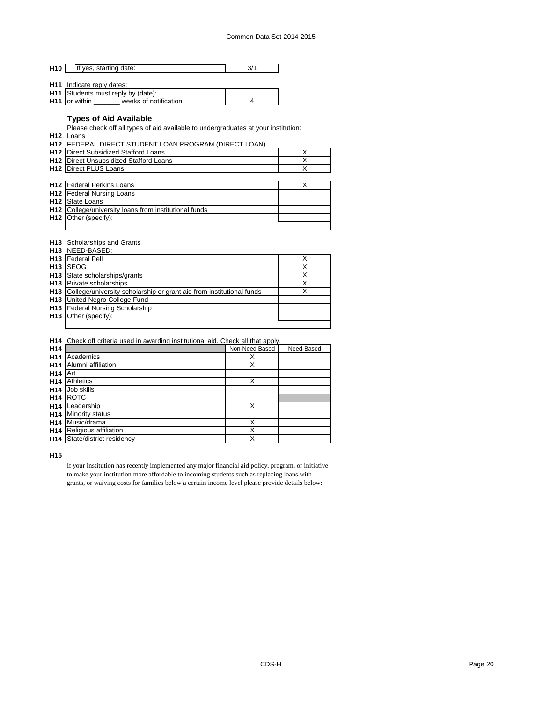| H <sub>10</sub> | If yes, starting date: |  |
|-----------------|------------------------|--|
|                 |                        |  |

- **H11** Indicate reply dates:
- **H11** Students must reply by (date): **H11** or within \_\_\_\_\_\_\_ weeks of notification. \_\_\_\_\_\_\_\_\_\_\_\_\_\_\_\_\_\_\_\_\_\_\_\_\_\_\_\_\_\_\_\_\_\_

## **Types of Aid Available**

Please check off all types of aid available to undergraduates at your institution:

- **H12** Loans
- **H12** FEDERAL DIRECT STUDENT LOAN PROGRAM (DIRECT LOAN)
- **H12** X Direct Subsidized Stafford Loans **H12** Direct Unsubsidized Stafford Loans **Network 12 (2014)** X **H12** X Direct PLUS Loans

| <b>H12</b> Federal Perkins Loans                                  |  |
|-------------------------------------------------------------------|--|
| <b>H12</b>   Federal Nursing Loans                                |  |
| <b>H12</b> State Loans                                            |  |
| H <sub>12</sub> College/university loans from institutional funds |  |
| H <sub>12</sub> Other (specify):                                  |  |
|                                                                   |  |

#### **H13** Scholarships and Grants

|     | H13 NEED-BASED:                                                          |  |
|-----|--------------------------------------------------------------------------|--|
|     | <b>H13</b> Federal Pell                                                  |  |
| H13 | <b>ISEOG</b>                                                             |  |
|     | H <sub>13</sub> State scholarships/grants                                |  |
|     | <b>H13</b> Private scholarships                                          |  |
|     | H13 College/university scholarship or grant aid from institutional funds |  |
|     | <b>H13</b> United Negro College Fund                                     |  |
|     | H13   Federal Nursing Scholarship                                        |  |
|     | H13 Other (specify):                                                     |  |
|     |                                                                          |  |

## **H14** Check off criteria used in awarding institutional aid. Check all that apply.

| H <sub>14</sub> |                          | Non-Need Based | Need-Based |
|-----------------|--------------------------|----------------|------------|
| H <sub>14</sub> | Academics                | X              |            |
| H <sub>14</sub> | Alumni affiliation       | Χ              |            |
| H <sub>14</sub> | Art                      |                |            |
| H <sub>14</sub> | <b>Athletics</b>         | Χ              |            |
| H <sub>14</sub> | Job skills               |                |            |
| H <sub>14</sub> | <b>ROTC</b>              |                |            |
| H <sub>14</sub> | Leadership               | Χ              |            |
| H <sub>14</sub> | Minority status          |                |            |
| H <sub>14</sub> | Music/drama              | X              |            |
| H <sub>14</sub> | Religious affiliation    | Χ              |            |
| H <sub>14</sub> | State/district residency | Χ              |            |

**H15**

If your institution has recently implemented any major financial aid policy, program, or initiative to make your institution more affordable to incoming students such as replacing loans with grants, or waiving costs for families below a certain income level please provide details below: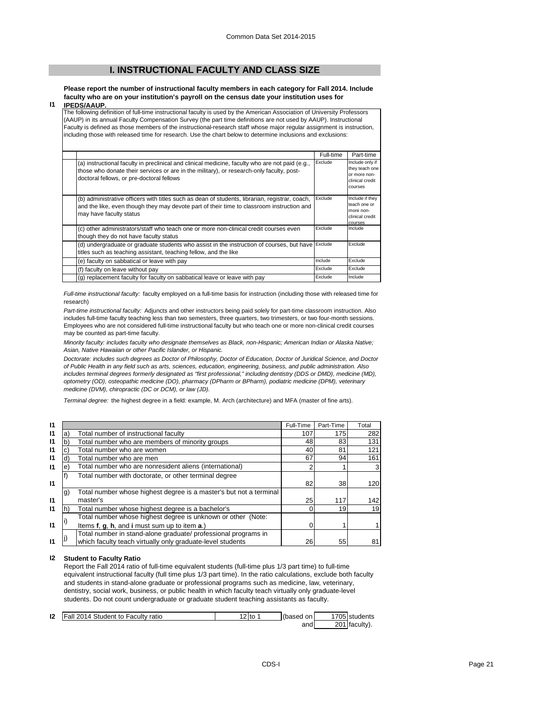## **I. INSTRUCTIONAL FACULTY AND CLASS SIZE**

**Please report the number of instructional faculty members in each category for Fall 2014. Include faculty who are on your institution's payroll on the census date your institution uses for IPEDS/AAUP.**

### **I1**

The following definition of full-time instructional faculty is used by the American Association of University Professors (AAUP) in its annual Faculty Compensation Survey (the part time definitions are not used by AAUP). Instructional Faculty is defined as those members of the instructional-research staff whose major regular assignment is instruction, including those with released time for research. Use the chart below to determine inclusions and exclusions:

|                                                                                                                                                                                                                                          | Full-time | Part-time                                                                       |
|------------------------------------------------------------------------------------------------------------------------------------------------------------------------------------------------------------------------------------------|-----------|---------------------------------------------------------------------------------|
| (a) instructional faculty in preclinical and clinical medicine, faculty who are not paid (e.g.,<br>those who donate their services or are in the military), or research-only faculty, post-<br>doctoral fellows, or pre-doctoral fellows | Exclude   | Include only if<br>they teach one<br>or more non-<br>clinical credit<br>courses |
| (b) administrative officers with titles such as dean of students, librarian, registrar, coach,<br>and the like, even though they may devote part of their time to classroom instruction and<br>may have faculty status                   | Exclude   | Include if they<br>teach one or<br>more non-<br>clinical credit<br>courses      |
| (c) other administrators/staff who teach one or more non-clinical credit courses even<br>though they do not have faculty status                                                                                                          | Exclude   | Include                                                                         |
| (d) undergraduate or graduate students who assist in the instruction of courses, but have Exclude<br>titles such as teaching assistant, teaching fellow, and the like                                                                    |           | Exclude                                                                         |
| (e) faculty on sabbatical or leave with pay                                                                                                                                                                                              | Include   | Exclude                                                                         |
| (f) faculty on leave without pay                                                                                                                                                                                                         | Exclude   | Exclude                                                                         |
| (g) replacement faculty for faculty on sabbatical leave or leave with pay                                                                                                                                                                | Exclude   | Include                                                                         |

*Full-time instructional faculty:* faculty employed on a full-time basis for instruction (including those with released time for research)

*Part-time instructional faculty:* Adjuncts and other instructors being paid solely for part-time classroom instruction. Also includes full-time faculty teaching less than two semesters, three quarters, two trimesters, or two four-month sessions. Employees who are not considered full-time instructional faculty but who teach one or more non-clinical credit courses may be counted as part-time faculty.

*Minority faculty: includes faculty who designate themselves as Black, non-Hispanic; American Indian or Alaska Native; Asian, Native Hawaiian or other Pacific Islander, or Hispanic.* 

*Doctorate: includes such degrees as Doctor of Philosophy, Doctor of Education, Doctor of Juridical Science, and Doctor of Public Health in any field such as arts, sciences, education, engineering, business, and public administration. Also*  includes terminal degrees formerly designated as "first professional," including dentistry (DDS or DMD), medicine (MD), *optometry (OD), osteopathic medicine (DO), pharmacy (DPharm or BPharm), podiatric medicine (DPM), veterinary medicine (DVM), chiropractic (DC or DCM), or law (JD).*

*Terminal degree:* the highest degree in a field: example, M. Arch (architecture) and MFA (master of fine arts).

| 11           |    |                                                                    | Full-Time | Part-Time | Total |
|--------------|----|--------------------------------------------------------------------|-----------|-----------|-------|
| 11           |    | Total number of instructional faculty                              | 107       | 175       | 282   |
| $\mathbf{I}$ | b. | Total number who are members of minority groups                    | 48        | 83        | 131   |
| 11           |    | Total number who are women                                         | 40        | 81        | 121   |
| 11           | ď  | Total number who are men                                           | 67        | 94        | 161   |
| $\mathsf{I}$ | е  | Total number who are nonresident aliens (international)            |           |           |       |
|              |    | Total number with doctorate, or other terminal degree              |           |           |       |
| $\mathbf{I}$ |    |                                                                    | 82        | 38I       | 120   |
|              | g) | Total number whose highest degree is a master's but not a terminal |           |           |       |
| 11           |    | master's                                                           | 25        | 117       | 142   |
| 11           |    | Total number whose highest degree is a bachelor's                  |           | 19        | 19    |
|              |    | Total number whose highest degree is unknown or other (Note:       |           |           |       |
| 11           |    | Items f, g, h, and i must sum up to item a.)                       |           |           |       |
|              |    | Total number in stand-alone graduate/ professional programs in     |           |           |       |
| 11           |    | which faculty teach virtually only graduate-level students         | 26        | 55        | 81    |

#### **I2 Student to Faculty Ratio**

Report the Fall 2014 ratio of full-time equivalent students (full-time plus 1/3 part time) to full-time equivalent instructional faculty (full time plus 1/3 part time). In the ratio calculations, exclude both faculty and students in stand-alone graduate or professional programs such as medicine, law, veterinary, dentistry, social work, business, or public health in which faculty teach virtually only graduate-level students. Do not count undergraduate or graduate student teaching assistants as faculty.

| 12 | Fall 2014 Student to Faculty ratio | $\mathcal{P}$ to . | (based on | 1705 students |
|----|------------------------------------|--------------------|-----------|---------------|
|    |                                    |                    | and       | 201 faculty). |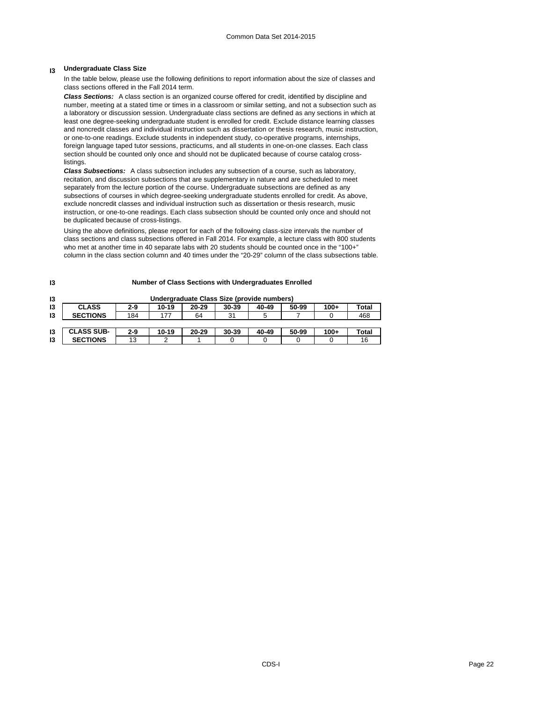## **I3 Undergraduate Class Size**

In the table below, please use the following definitions to report information about the size of classes and class sections offered in the Fall 2014 term.

*Class Sections:* A class section is an organized course offered for credit, identified by discipline and number, meeting at a stated time or times in a classroom or similar setting, and not a subsection such as a laboratory or discussion session. Undergraduate class sections are defined as any sections in which at least one degree-seeking undergraduate student is enrolled for credit. Exclude distance learning classes and noncredit classes and individual instruction such as dissertation or thesis research, music instruction, or one-to-one readings. Exclude students in independent study, co-operative programs, internships, foreign language taped tutor sessions, practicums, and all students in one-on-one classes. Each class section should be counted only once and should not be duplicated because of course catalog crosslistings.

*Class Subsections:* A class subsection includes any subsection of a course, such as laboratory, recitation, and discussion subsections that are supplementary in nature and are scheduled to meet separately from the lecture portion of the course. Undergraduate subsections are defined as any subsections of courses in which degree-seeking undergraduate students enrolled for credit. As above, exclude noncredit classes and individual instruction such as dissertation or thesis research, music instruction, or one-to-one readings. Each class subsection should be counted only once and should not be duplicated because of cross-listings.

Using the above definitions, please report for each of the following class-size intervals the number of class sections and class subsections offered in Fall 2014. For example, a lecture class with 800 students who met at another time in 40 separate labs with 20 students should be counted once in the "100+" column in the class section column and 40 times under the "20-29" column of the class subsections table.

**Number of Class Sections with Undergraduates Enrolled**

| 13 |                   |       |       |           | Undergraduate Class Size (provide numbers) |       |       |        |       |
|----|-------------------|-------|-------|-----------|--------------------------------------------|-------|-------|--------|-------|
| 13 | <b>CLASS</b>      | 2-9   | 10-19 | $20 - 29$ | 30-39                                      | 40-49 | 50-99 | $100+$ | Total |
| 13 | <b>SECTIONS</b>   | 184   | 177   | 64        | 31                                         |       |       |        | 468   |
|    |                   |       |       |           |                                            |       |       |        |       |
| 13 | <b>CLASS SUB-</b> | $2-9$ | 10-19 | $20 - 29$ | 30-39                                      | 40-49 | 50-99 | $100+$ | Total |
| 13 | <b>SECTIONS</b>   | 13    |       |           |                                            |       |       |        | 16    |